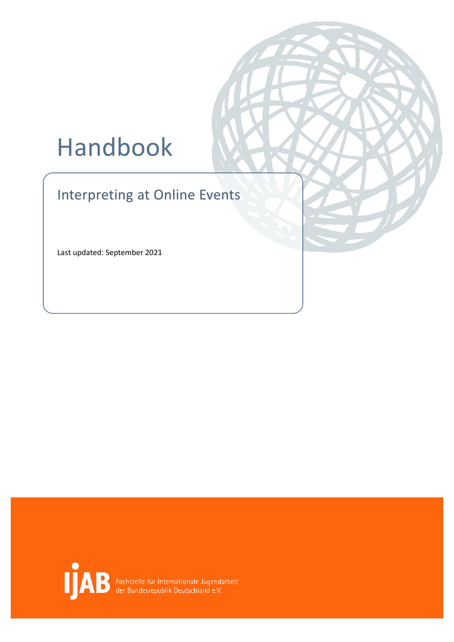# Handbook

# Interpreting at Online Events

Last updated: September 2021



Fachstelle für Internationale Jugendarbeit<br>der Bundesrepublik Deutschland e.V.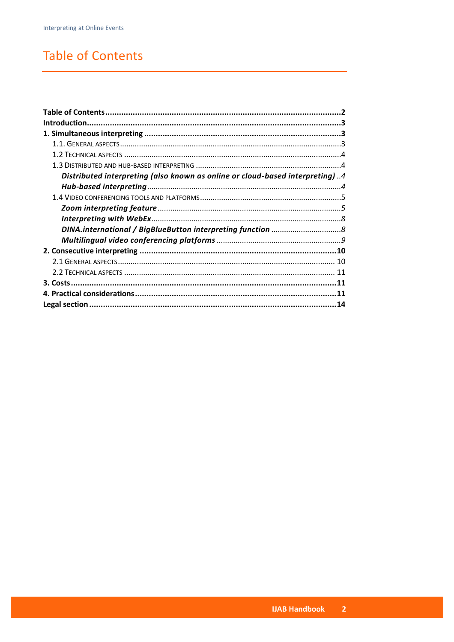# <span id="page-1-0"></span>**Table of Contents**

| Distributed interpreting (also known as online or cloud-based interpreting) 4 |  |
|-------------------------------------------------------------------------------|--|
|                                                                               |  |
|                                                                               |  |
|                                                                               |  |
|                                                                               |  |
|                                                                               |  |
|                                                                               |  |
|                                                                               |  |
|                                                                               |  |
|                                                                               |  |
|                                                                               |  |
|                                                                               |  |
|                                                                               |  |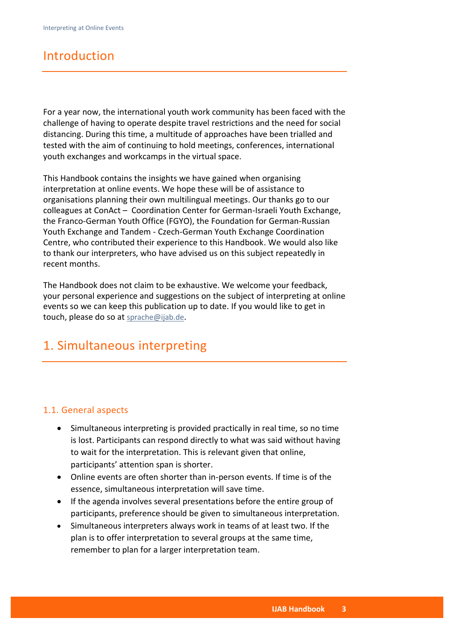### <span id="page-2-0"></span>Introduction

For a year now, the international youth work community has been faced with the challenge of having to operate despite travel restrictions and the need for social distancing. During this time, a multitude of approaches have been trialled and tested with the aim of continuing to hold meetings, conferences, international youth exchanges and workcamps in the virtual space.

This Handbook contains the insights we have gained when organising interpretation at online events. We hope these will be of assistance to organisations planning their own multilingual meetings. Our thanks go to our colleagues at ConAct – Coordination Center for German-Israeli Youth Exchange, the Franco-German Youth Office (FGYO), the Foundation for German-Russian Youth Exchange and Tandem - Czech-German Youth Exchange Coordination Centre, who contributed their experience to this Handbook. We would also like to thank our interpreters, who have advised us on this subject repeatedly in recent months.

The Handbook does not claim to be exhaustive. We welcome your feedback, your personal experience and suggestions on the subject of interpreting at online events so we can keep this publication up to date. If you would like to get in touch, please do so at [sprache@ijab.de](mailto:sprache@ijab.de).

# <span id="page-2-1"></span>1. Simultaneous interpreting

#### <span id="page-2-2"></span>1.1. General aspects

- Simultaneous interpreting is provided practically in real time, so no time is lost. Participants can respond directly to what was said without having to wait for the interpretation. This is relevant given that online, participants' attention span is shorter.
- Online events are often shorter than in-person events. If time is of the essence, simultaneous interpretation will save time.
- If the agenda involves several presentations before the entire group of participants, preference should be given to simultaneous interpretation.
- Simultaneous interpreters always work in teams of at least two. If the plan is to offer interpretation to several groups at the same time, remember to plan for a larger interpretation team.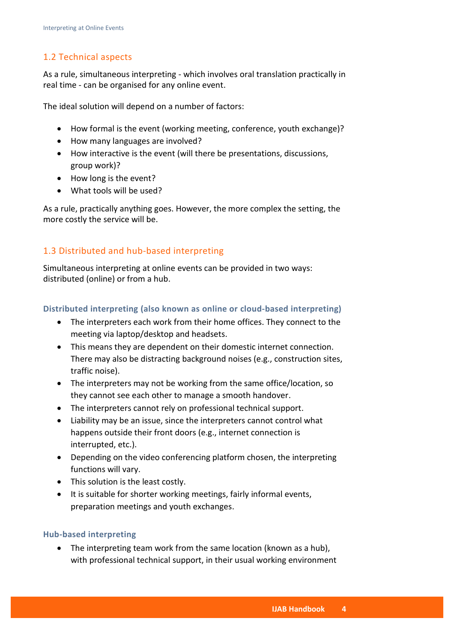#### <span id="page-3-0"></span>1.2 Technical aspects

As a rule, simultaneous interpreting - which involves oral translation practically in real time - can be organised for any online event.

The ideal solution will depend on a number of factors:

- How formal is the event (working meeting, conference, youth exchange)?
- How many languages are involved?
- How interactive is the event (will there be presentations, discussions, group work)?
- How long is the event?
- What tools will be used?

As a rule, practically anything goes. However, the more complex the setting, the more costly the service will be.

#### <span id="page-3-1"></span>1.3 Distributed and hub-based interpreting

Simultaneous interpreting at online events can be provided in two ways: distributed (online) or from a hub.

#### <span id="page-3-2"></span>**Distributed interpreting (also known as online or cloud-based interpreting)**

- The interpreters each work from their home offices. They connect to the meeting via laptop/desktop and headsets.
- This means they are dependent on their domestic internet connection. There may also be distracting background noises (e.g., construction sites, traffic noise).
- The interpreters may not be working from the same office/location, so they cannot see each other to manage a smooth handover.
- The interpreters cannot rely on professional technical support.
- Liability may be an issue, since the interpreters cannot control what happens outside their front doors (e.g., internet connection is interrupted, etc.).
- Depending on the video conferencing platform chosen, the interpreting functions will vary.
- This solution is the least costly.
- It is suitable for shorter working meetings, fairly informal events, preparation meetings and youth exchanges.

#### <span id="page-3-3"></span>**Hub-based interpreting**

with professional technical support, in their usual working environment • The interpreting team work from the same location (known as a hub),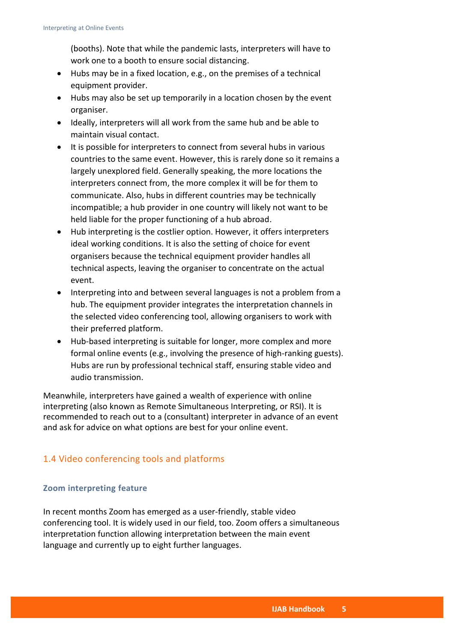(booths). Note that while the pandemic lasts, interpreters will have to work one to a booth to ensure social distancing.

- Hubs may be in a fixed location, e.g., on the premises of a technical equipment provider.
- Hubs may also be set up temporarily in a location chosen by the event organiser.
- Ideally, interpreters will all work from the same hub and be able to maintain visual contact.
- It is possible for interpreters to connect from several hubs in various countries to the same event. However, this is rarely done so it remains a largely unexplored field. Generally speaking, the more locations the interpreters connect from, the more complex it will be for them to communicate. Also, hubs in different countries may be technically incompatible; a hub provider in one country will likely not want to be held liable for the proper functioning of a hub abroad.
- Hub interpreting is the costlier option. However, it offers interpreters ideal working conditions. It is also the setting of choice for event organisers because the technical equipment provider handles all technical aspects, leaving the organiser to concentrate on the actual event.
- Interpreting into and between several languages is not a problem from a hub. The equipment provider integrates the interpretation channels in the selected video conferencing tool, allowing organisers to work with their preferred platform.
- Hub-based interpreting is suitable for longer, more complex and more formal online events (e.g., involving the presence of high-ranking guests). Hubs are run by professional technical staff, ensuring stable video and audio transmission.

Meanwhile, interpreters have gained a wealth of experience with online interpreting (also known as Remote Simultaneous Interpreting, or RSI). It is recommended to reach out to a (consultant) interpreter in advance of an event and ask for advice on what options are best for your online event.

#### <span id="page-4-0"></span>1.4 Video conferencing tools and platforms

#### <span id="page-4-1"></span>**Zoom interpreting feature**

In recent months Zoom has emerged as a user-friendly, stable video conferencing tool. It is widely used in our field, too. Zoom offers a simultaneous interpretation function allowing interpretation between the main event language and currently up to eight further languages.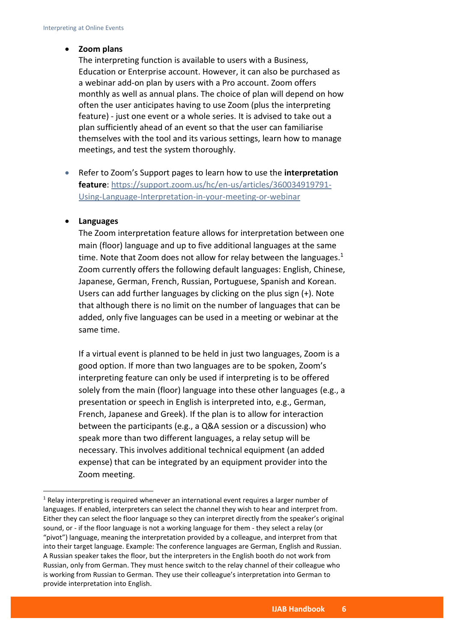#### **Zoom plans**

The interpreting function is available to users with a Business, Education or Enterprise account. However, it can also be purchased as a webinar add-on plan by users with a Pro account. Zoom offers monthly as well as annual plans. The choice of plan will depend on how often the user anticipates having to use Zoom (plus the interpreting feature) - just one event or a whole series. It is advised to take out a plan sufficiently ahead of an event so that the user can familiarise themselves with the tool and its various settings, learn how to manage meetings, and test the system thoroughly.

 Refer to Zoom's Support pages to learn how to use the **interpretation feature**[: https://support.zoom.us/hc/en-us/articles/360034919791-](https://support.zoom.us/hc/en-us/articles/360034919791-Using-Language-Interpretation-in-your-meeting-or-webinar) [Using-Language-Interpretation-in-your-meeting-or-webinar](https://support.zoom.us/hc/en-us/articles/360034919791-Using-Language-Interpretation-in-your-meeting-or-webinar)

#### **Languages**

 $\overline{a}$ 

The Zoom interpretation feature allows for interpretation between one main (floor) language and up to five additional languages at the same time. Note that Zoom does not allow for relay between the languages.<sup>1</sup> Zoom currently offers the following default languages: English, Chinese, Japanese, German, French, Russian, Portuguese, Spanish and Korean. Users can add further languages by clicking on the plus sign (+). Note that although there is no limit on the number of languages that can be added, only five languages can be used in a meeting or webinar at the same time.

If a virtual event is planned to be held in just two languages, Zoom is a good option. If more than two languages are to be spoken, Zoom's interpreting feature can only be used if interpreting is to be offered solely from the main (floor) language into these other languages (e.g., a presentation or speech in English is interpreted into, e.g., German, French, Japanese and Greek). If the plan is to allow for interaction between the participants (e.g., a Q&A session or a discussion) who speak more than two different languages, a relay setup will be necessary. This involves additional technical equipment (an added expense) that can be integrated by an equipment provider into the Zoom meeting.

Russian, only from German. They must hence switch to the relay channel of their colleague who <sup>1</sup> Relay interpreting is required whenever an international event requires a larger number of languages. If enabled, interpreters can select the channel they wish to hear and interpret from. Either they can select the floor language so they can interpret directly from the speaker's original sound, or - if the floor language is not a working language for them - they select a relay (or "pivot") language, meaning the interpretation provided by a colleague, and interpret from that into their target language. Example: The conference languages are German, English and Russian. A Russian speaker takes the floor, but the interpreters in the English booth do not work from is working from Russian to German. They use their colleague's interpretation into German to provide interpretation into English.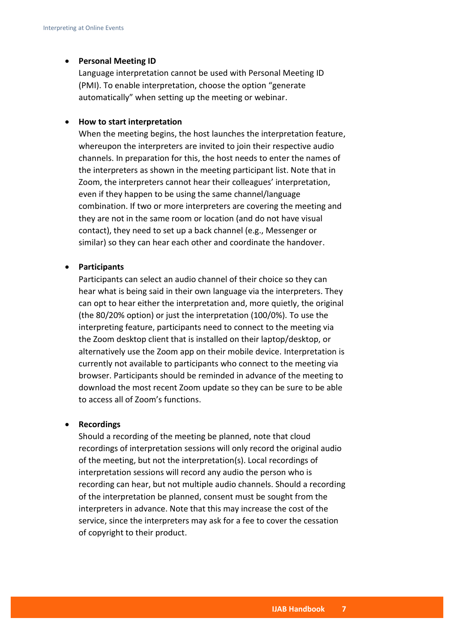#### **Personal Meeting ID**

Language interpretation cannot be used with Personal Meeting ID (PMI). To enable interpretation, choose the option "generate automatically" when setting up the meeting or webinar.

#### **How to start interpretation**

When the meeting begins, the host launches the interpretation feature, whereupon the interpreters are invited to join their respective audio channels. In preparation for this, the host needs to enter the names of the interpreters as shown in the meeting participant list. Note that in Zoom, the interpreters cannot hear their colleagues' interpretation, even if they happen to be using the same channel/language combination. If two or more interpreters are covering the meeting and they are not in the same room or location (and do not have visual contact), they need to set up a back channel (e.g., Messenger or similar) so they can hear each other and coordinate the handover.

#### **Participants**

Participants can select an audio channel of their choice so they can hear what is being said in their own language via the interpreters. They can opt to hear either the interpretation and, more quietly, the original (the 80/20% option) or just the interpretation (100/0%). To use the interpreting feature, participants need to connect to the meeting via the Zoom desktop client that is installed on their laptop/desktop, or alternatively use the Zoom app on their mobile device. Interpretation is currently not available to participants who connect to the meeting via browser. Participants should be reminded in advance of the meeting to download the most recent Zoom update so they can be sure to be able to access all of Zoom's functions.

#### **Recordings**

Should a recording of the meeting be planned, note that cloud recordings of interpretation sessions will only record the original audio of the meeting, but not the interpretation(s). Local recordings of interpretation sessions will record any audio the person who is recording can hear, but not multiple audio channels. Should a recording of the interpretation be planned, consent must be sought from the interpreters in advance. Note that this may increase the cost of the service, since the interpreters may ask for a fee to cover the cessation of copyright to their product.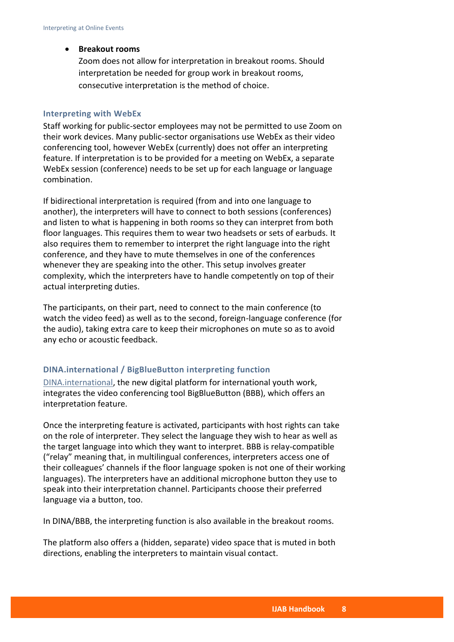#### **Breakout rooms**

Zoom does not allow for interpretation in breakout rooms. Should interpretation be needed for group work in breakout rooms, consecutive interpretation is the method of choice.

#### <span id="page-7-0"></span>**Interpreting with WebEx**

Staff working for public-sector employees may not be permitted to use Zoom on their work devices. Many public-sector organisations use WebEx as their video conferencing tool, however WebEx (currently) does not offer an interpreting feature. If interpretation is to be provided for a meeting on WebEx, a separate WebEx session (conference) needs to be set up for each language or language combination.

If bidirectional interpretation is required (from and into one language to another), the interpreters will have to connect to both sessions (conferences) and listen to what is happening in both rooms so they can interpret from both floor languages. This requires them to wear two headsets or sets of earbuds. It also requires them to remember to interpret the right language into the right conference, and they have to mute themselves in one of the conferences whenever they are speaking into the other. This setup involves greater complexity, which the interpreters have to handle competently on top of their actual interpreting duties.

The participants, on their part, need to connect to the main conference (to watch the video feed) as well as to the second, foreign-language conference (for the audio), taking extra care to keep their microphones on mute so as to avoid any echo or acoustic feedback.

#### <span id="page-7-1"></span>**DINA.international / BigBlueButton interpreting function**

[DINA.international,](https://dina.international/) the new digital platform for international youth work, integrates the video conferencing tool BigBlueButton (BBB), which offers an interpretation feature.

Once the interpreting feature is activated, participants with host rights can take on the role of interpreter. They select the language they wish to hear as well as the target language into which they want to interpret. BBB is relay-compatible ("relay" meaning that, in multilingual conferences, interpreters access one of their colleagues' channels if the floor language spoken is not one of their working languages). The interpreters have an additional microphone button they use to speak into their interpretation channel. Participants choose their preferred language via a button, too.

In DINA/BBB, the interpreting function is also available in the breakout rooms.

The platform also offers a (hidden, separate) video space that is muted in both directions, enabling the interpreters to maintain visual contact.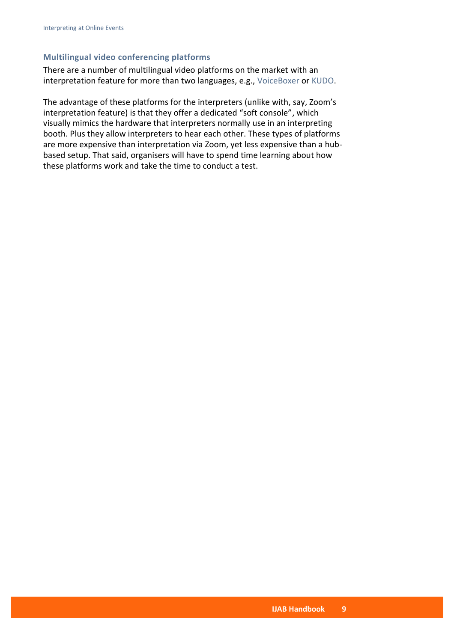#### <span id="page-8-0"></span>**Multilingual video conferencing platforms**

There are a number of multilingual video platforms on the market with an interpretation feature for more than two languages, e.g., [VoiceBoxer](https://voiceboxer.com/) or [KUDO.](https://kudoway.com/)

The advantage of these platforms for the interpreters (unlike with, say, Zoom's interpretation feature) is that they offer a dedicated "soft console", which visually mimics the hardware that interpreters normally use in an interpreting booth. Plus they allow interpreters to hear each other. These types of platforms are more expensive than interpretation via Zoom, yet less expensive than a hubbased setup. That said, organisers will have to spend time learning about how these platforms work and take the time to conduct a test.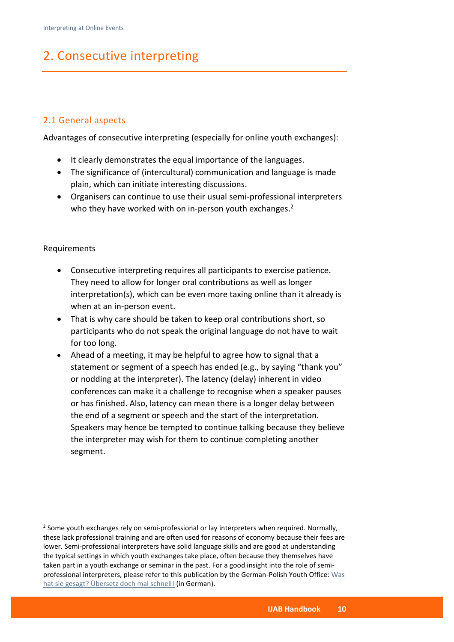# <span id="page-9-0"></span>2. Consecutive interpreting

#### <span id="page-9-1"></span>2.1 General aspects

Advantages of consecutive interpreting (especially for online youth exchanges):

- It clearly demonstrates the equal importance of the languages.
- The significance of (intercultural) communication and language is made plain, which can initiate interesting discussions.
- Organisers can continue to use their usual semi-professional interpreters who they have worked with on in-person youth exchanges.<sup>2</sup>

#### Requirements

 $\overline{\phantom{a}}$ 

- Consecutive interpreting requires all participants to exercise patience. They need to allow for longer oral contributions as well as longer interpretation(s), which can be even more taxing online than it already is when at an in-person event.
- That is why care should be taken to keep oral contributions short, so participants who do not speak the original language do not have to wait for too long.
- Ahead of a meeting, it may be helpful to agree how to signal that a statement or segment of a speech has ended (e.g., by saying "thank you" or nodding at the interpreter). The latency (delay) inherent in video conferences can make it a challenge to recognise when a speaker pauses or has finished. Also, latency can mean there is a longer delay between the end of a segment or speech and the start of the interpretation. Speakers may hence be tempted to continue talking because they believe the interpreter may wish for them to continue completing another segment.

If the part in a youth exchange or seminar in the past. For a good insight into the role of semi-<sup>2</sup> Some youth exchanges rely on semi-professional or lay interpreters when required. Normally, these lack professional training and are often used for reasons of economy because their fees are lower. Semi-professional interpreters have solid language skills and are good at understanding the typical settings in which youth exchanges take place, often because they themselves have professional interpreters, please refer to this publication by the German-Polish Youth Office[: Was](https://dpjw.org/publikationen/was-hat-sie-gesagt-ubersetz-doch-mal-schnell/)  [hat sie gesagt? Übersetz doch mal schnell!](https://dpjw.org/publikationen/was-hat-sie-gesagt-ubersetz-doch-mal-schnell/) (in German).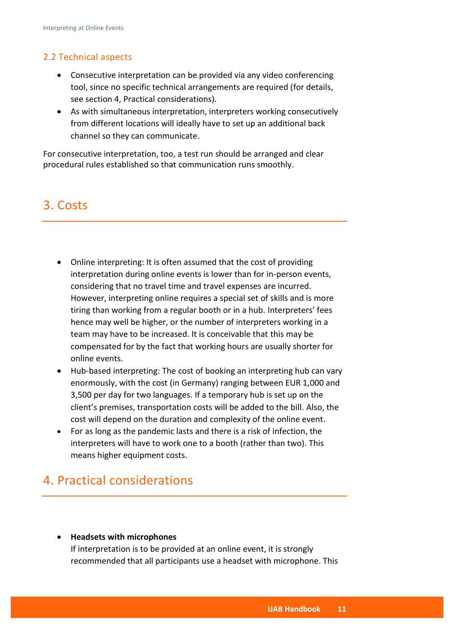#### <span id="page-10-0"></span>2.2 Technical aspects

- Consecutive interpretation can be provided via any video conferencing tool, since no specific technical arrangements are required (for details, see section 4, Practical considerations).
- As with simultaneous interpretation, interpreters working consecutively from different locations will ideally have to set up an additional back channel so they can communicate.

For consecutive interpretation, too, a test run should be arranged and clear procedural rules established so that communication runs smoothly.

### <span id="page-10-1"></span>3. Costs

- Online interpreting: It is often assumed that the cost of providing interpretation during online events is lower than for in-person events, considering that no travel time and travel expenses are incurred. However, interpreting online requires a special set of skills and is more tiring than working from a regular booth or in a hub. Interpreters' fees hence may well be higher, or the number of interpreters working in a team may have to be increased. It is conceivable that this may be compensated for by the fact that working hours are usually shorter for online events.
- Hub-based interpreting: The cost of booking an interpreting hub can vary enormously, with the cost (in Germany) ranging between EUR 1,000 and 3,500 per day for two languages. If a temporary hub is set up on the client's premises, transportation costs will be added to the bill. Also, the cost will depend on the duration and complexity of the online event.
- For as long as the pandemic lasts and there is a risk of infection, the interpreters will have to work one to a booth (rather than two). This means higher equipment costs.

# <span id="page-10-2"></span>4. Practical considerations

**Headsets with microphones**

recommended that all participants use a headset with microphone. This If interpretation is to be provided at an online event, it is strongly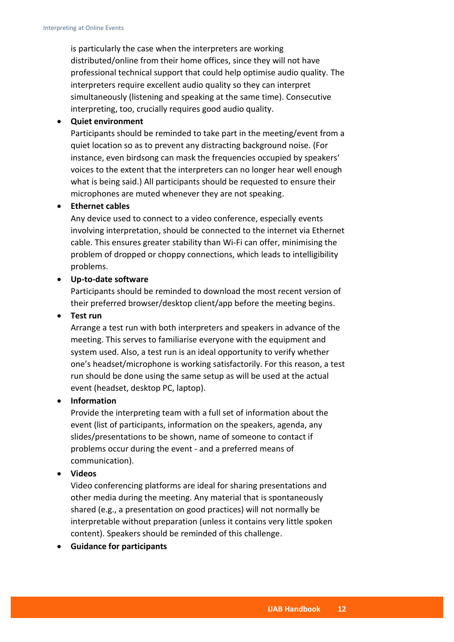is particularly the case when the interpreters are working distributed/online from their home offices, since they will not have professional technical support that could help optimise audio quality. The interpreters require excellent audio quality so they can interpret simultaneously (listening and speaking at the same time). Consecutive interpreting, too, crucially requires good audio quality.

#### **Quiet environment**

Participants should be reminded to take part in the meeting/event from a quiet location so as to prevent any distracting background noise. (For instance, even birdsong can mask the frequencies occupied by speakers' voices to the extent that the interpreters can no longer hear well enough what is being said.) All participants should be requested to ensure their microphones are muted whenever they are not speaking.

#### **Ethernet cables**

Any device used to connect to a video conference, especially events involving interpretation, should be connected to the internet via Ethernet cable. This ensures greater stability than Wi-Fi can offer, minimising the problem of dropped or choppy connections, which leads to intelligibility problems.

#### **Up-to-date software**

Participants should be reminded to download the most recent version of their preferred browser/desktop client/app before the meeting begins.

#### **Test run**

Arrange a test run with both interpreters and speakers in advance of the meeting. This serves to familiarise everyone with the equipment and system used. Also, a test run is an ideal opportunity to verify whether one's headset/microphone is working satisfactorily. For this reason, a test run should be done using the same setup as will be used at the actual event (headset, desktop PC, laptop).

#### **Information**

Provide the interpreting team with a full set of information about the event (list of participants, information on the speakers, agenda, any slides/presentations to be shown, name of someone to contact if problems occur during the event - and a preferred means of communication).

#### **Videos**

Video conferencing platforms are ideal for sharing presentations and other media during the meeting. Any material that is spontaneously shared (e.g., a presentation on good practices) will not normally be interpretable without preparation (unless it contains very little spoken content). Speakers should be reminded of this challenge.

**Guidance for participants**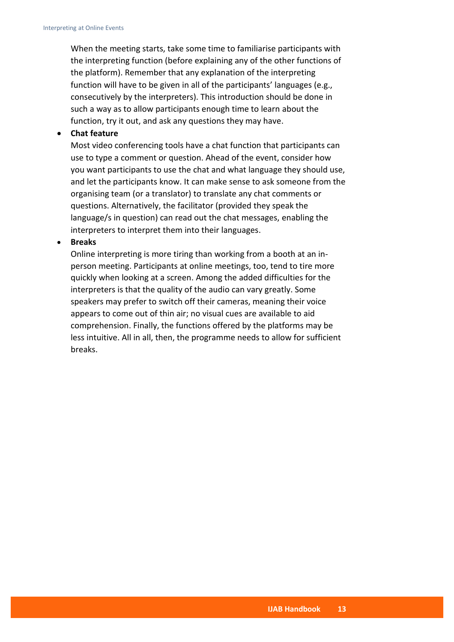When the meeting starts, take some time to familiarise participants with the interpreting function (before explaining any of the other functions of the platform). Remember that any explanation of the interpreting function will have to be given in all of the participants' languages (e.g., consecutively by the interpreters). This introduction should be done in such a way as to allow participants enough time to learn about the function, try it out, and ask any questions they may have.

#### **Chat feature**

Most video conferencing tools have a chat function that participants can use to type a comment or question. Ahead of the event, consider how you want participants to use the chat and what language they should use, and let the participants know. It can make sense to ask someone from the organising team (or a translator) to translate any chat comments or questions. Alternatively, the facilitator (provided they speak the language/s in question) can read out the chat messages, enabling the interpreters to interpret them into their languages.

#### **Breaks**

Online interpreting is more tiring than working from a booth at an inperson meeting. Participants at online meetings, too, tend to tire more quickly when looking at a screen. Among the added difficulties for the interpreters is that the quality of the audio can vary greatly. Some speakers may prefer to switch off their cameras, meaning their voice appears to come out of thin air; no visual cues are available to aid comprehension. Finally, the functions offered by the platforms may be less intuitive. All in all, then, the programme needs to allow for sufficient breaks.